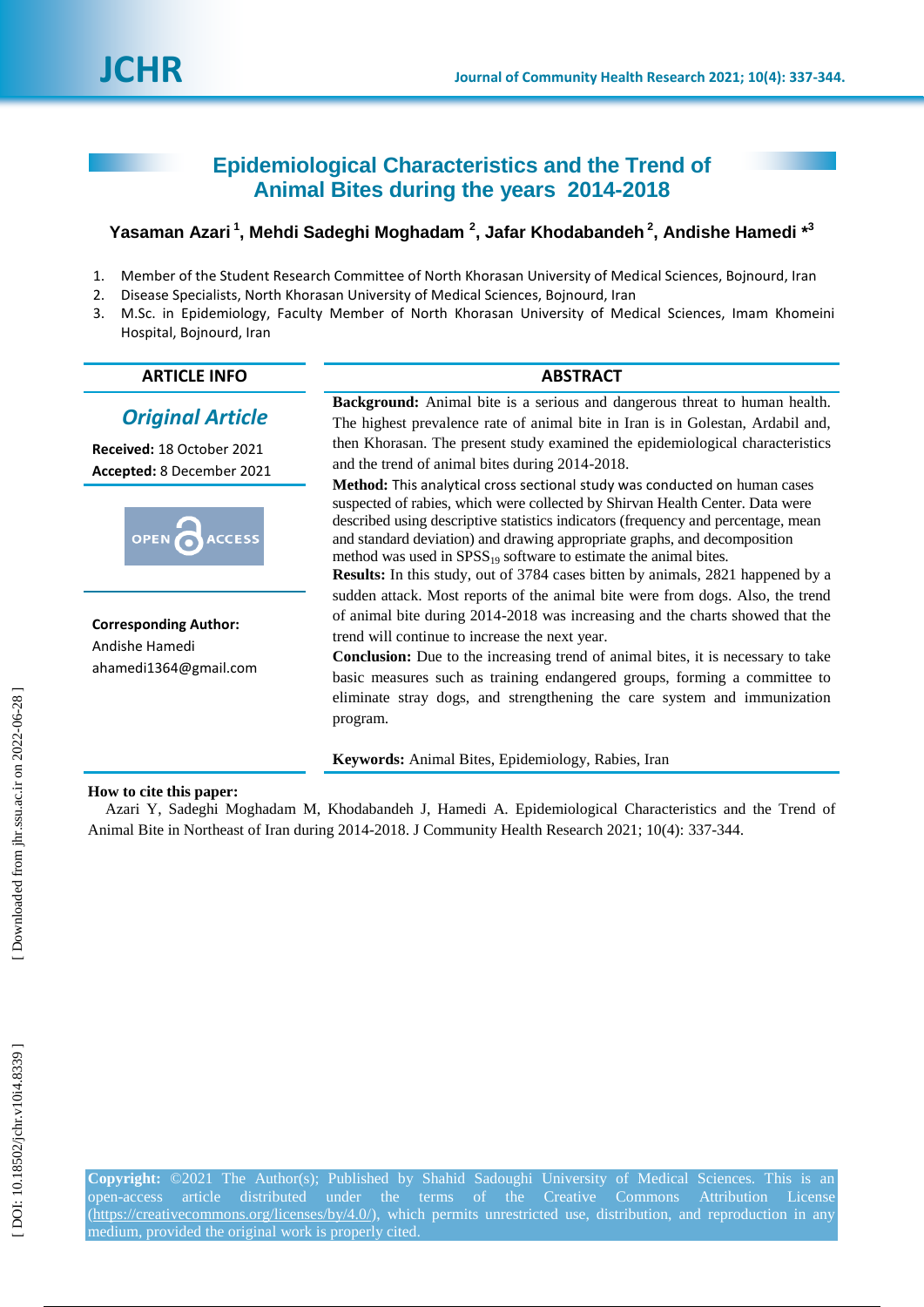# **Epidemiological Characteristics and the Trend of Animal Bites during the years 2014 -2018**

# Yasaman Azari<sup>1</sup>, Mehdi Sadeghi Moghadam <sup>2</sup>, Jafar Khodabandeh <sup>2</sup>, Andishe Hamedi \*<sup>3</sup>

- 1 . Member of the Student Research Committee of North Khorasan University of Medical Sciences, Bojnourd, Iran
- 2. . Disease Specialists, North Khorasan University of Medical Sciences, Bojnourd, Iran
- 3 . M.Sc. in Epidemiology, Faculty Member of North Khorasan University of Medical Sciences, Imam Khomeini Hospital, Bojnourd, Iran

# **ARTICLE INFO ABSTRACT**

# *Original Article*

**Received:** 18 October 2021 **Accepted:**  8 December 2021



**Corresponding Author:** Andishe Hamedi ahamedi1364@gmail.com

**Background:** Animal bite is a serious and dangerous threat to human health. The highest prevalence rate of animal bite in Iran is in Golestan, Ardabil and, then Khorasan. The present study examined the epidemiological characteristics and the trend of animal bites during 2014 -2018.

**Method:** This analytical cross sectional study was conducted on human cases suspected of rabies, which were collected by Shirvan Health Center. Data were described using descriptive statistics indicators (frequency and percentage, mean and standard deviation) and drawing appropriate graphs, and decomposition method was used in  $SPSS_{19}$  software to estimate the animal bites.

**Results:** In this study, out of 3784 cases bitten by animals, 2821 happened by a sudden attack. Most reports of the animal bite were from dogs. Also, the trend of animal bite during 2014 -2018 was increasing and the charts showed that the trend will continue to increase the next year.

**Conclusion:** Due to the increasing trend of animal bites, it is necessary to take basic measures such as training endangered groups, forming a committee to eliminate stray dogs, and strengthening the care system and immunization program.

**Keywords:** Animal Bites, Epidemiology, Rabies, Iran

# **How to cite this paper:**

Azari Y, Sadeghi Moghadam M, Khodabandeh J, Hamedi A. Epidemiological Characteristics and the Trend of Animal Bite in Northeast of Iran during 2014-2018. J Community Health Research 2021; 10(4): 337-344.

**Copyright:** ©2021 The Author(s); Published by Shahid Sadoughi University of Medical Sciences. This is an open-access -access article distributed under the terms of the Creative Commons Attribution License (https://creativecommons.org/licenses/by/4.0/), which permits unrestricted use, distribution, and reproduction in any medium, provided the original work is properly cited.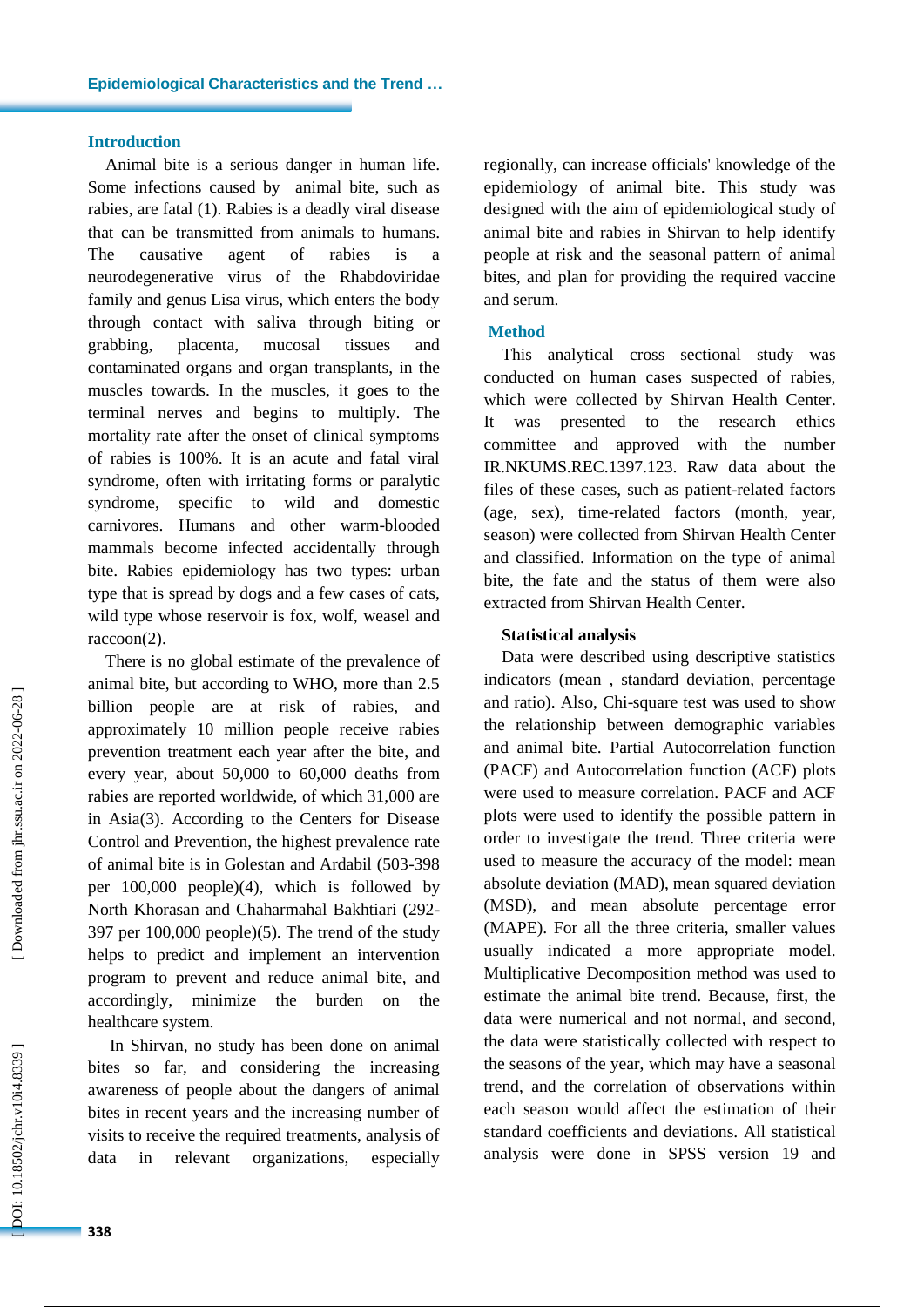# **Introduction**

Animal bite is a serious danger in human life. Some infections caused by animal bite, such as rabies, are fatal ( 1 ) . Rabies is a deadly viral disease that can be transmitted from animals to humans. The causative agent of rabies is a neurodegenerative virus of the Rhabdoviridae family and genus Lisa virus, which enters the body through contact with saliva through biting or grabbing, placenta, mucosal tissues and contaminated organs and organ transplants, in the muscles towards. In the muscles, it goes to the terminal nerves and begins to multiply . The mortality rate after the onset of clinical symptoms of rabies is 100%. It is an acute and fatal viral syndrome, often with irritating forms or paralytic syndrome, specific to wild and domestic carnivores. Humans and other warm -blooded mammals become infected accidentally through bite. Rabies epidemiology has two types: urban type that is spread by dogs and a few cases of cats, wild type whose reservoir is fox, wolf, weasel and raccoon(2).

There is no global estimate of the prevalence of animal bite, but according to WHO, more than 2.5 billion people are at risk of rabies, and approximately 10 million people receive rabies prevention treatment each year after the bite , and every year, about 50,000 to 60,000 deaths from rabies are reported worldwide, of which 31,000 are in Asia ( 3 ) . According to the Centers for Disease Control and Prevention, the highest prevalence rate of animal bite is in Golestan and Ardabil (503 -398 per 100,000 people) ( 4 ), which is followed by North Khorasan and Chaharmahal Bakhtiari (292 - 397 per 100,000 people) ( 5 ) . The trend of the study help s to predict and implement an intervention program to prevent and reduce animal bite, and accordingly, minimize the burden on the healthcare system.

In Shirvan, no study has been done on animal bites so far , and considering the increasing awareness of people about the dangers of animal bites in recent years and the increasing number of visits to receive the required treatments, analysis of data in relevant organizations, especially

regionally , can increase officials' knowledge of the epidemiology of animal bite. This study was designed with the aim of epidemiological study of animal bite and rabies in Shirvan to help identify people at risk and the seasonal pattern of animal bites , and plan for providing the required vaccine and serum.

# **Method**

This analytical cross sectional study was conducted on human cases suspected of rabies, which were collected by Shirvan Health Center . It was presented to the research ethics committee and approved with the number IR.NKUMS.REC.1397.123. Raw data about the files of these cases, such as patient -related factors (age, sex), time -related factors (month, year, season) were collected from Shirvan Health Center and classified. Information on the type of animal bite, the fate and the status of them were also extracted from Shirvan Health Center .

### **Statistical analysis**

Data were described using descriptive statistics indicators (mean , standard deviation, percentage and ratio). Also, Chi -square test was used to show the relationship between demographic variables and animal bite. Partial Autocorrelation function (PACF) and Autocorrelation function (ACF) plots were used to measure correlation. PACF and ACF plots were used to identify the possible pattern in order to investigate the trend. Three criteria were used to measure the accuracy of the model: mean absolute deviation (MAD), mean squared deviation (MSD), and mean absolute percentage error (MAPE). For all the three criteria, smaller values usually indicate d a more appropriate model. Multiplicative Decomposition method was used to estimate the animal bite trend. Because, first, the data were numerical and not normal, and second, the data were statistically collected with respect to the seasons of the year, which may have a seasonal trend , and the correlation of observations within each season would affect the estimation of their standard coefficients and deviations. All statistical analysis were done in SPSS version 19 and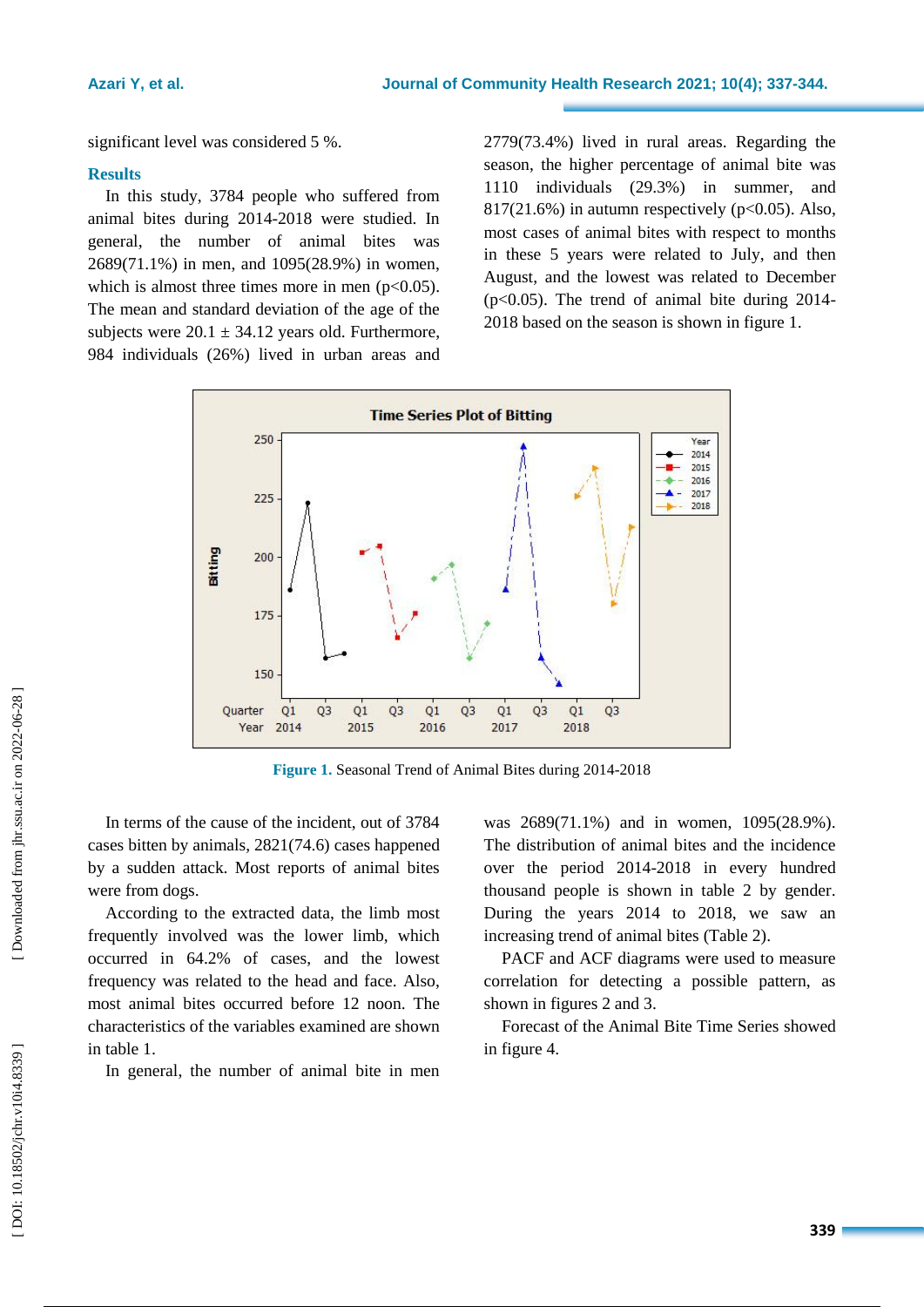significant level was considered 5 %.

#### **Results**

In this study, 3784 people who suffered from animal bites during 2014 -2018 were studied. In general, the number of animal bites was 2689(71.1% ) in men , and 1095(28.9% ) in women, which is almost three times more in men  $(p<0.05)$ . The mean and standard deviation of the age of the subjects were  $20.1 \pm 34.12$  years old. Furthermore, 984 individuals (26% ) lived in urban areas and

2779(73.4% ) lived in rural areas. Regarding the season, the highe r percentage of animal bite was 1110 individuals (29.3% ) in summer , and 817(21.6% ) in autumn respectively (p<0.05). Also, most cases of animal bites with respect to months in these 5 years were related to July , and then August , and the lowest was related to December (p<0.05). The trend of animal bite during 2014 - 2018 based on the season is shown in figure 1.



**Figure 1 .** Seasonal Trend of Animal Bites during 2014 -2018

In terms of the cause of the incident, out of 3784 cases bitten by animals, 2821(74.6) cases happened by a sudden attack. Most reports of animal bites were from dogs.

According to the extracted data , the limb most frequently involved was the lower limb, which occurred in 64.2% of cases, and the lowest frequency was related to the head and face. Also, most animal bites occurred before 12 noon. The characteristics of the variables examined are shown in table 1.

In general, the number of animal bite in men

was 2689(71.1%) and in women, 1095(28.9%). The distribution of animal bites and the incidence over the period 2014 -2018 in every hundred thousand people is shown in table 2 by gender. During the years 2014 to 2018, we saw an increasing trend of animal bites (Table 2) .

PACF and ACF diagrams were used to measure correlation for detecting a possible pattern, as shown in figures 2 and 3.

Forecast of the Animal Bite Time Series showed in figure 4.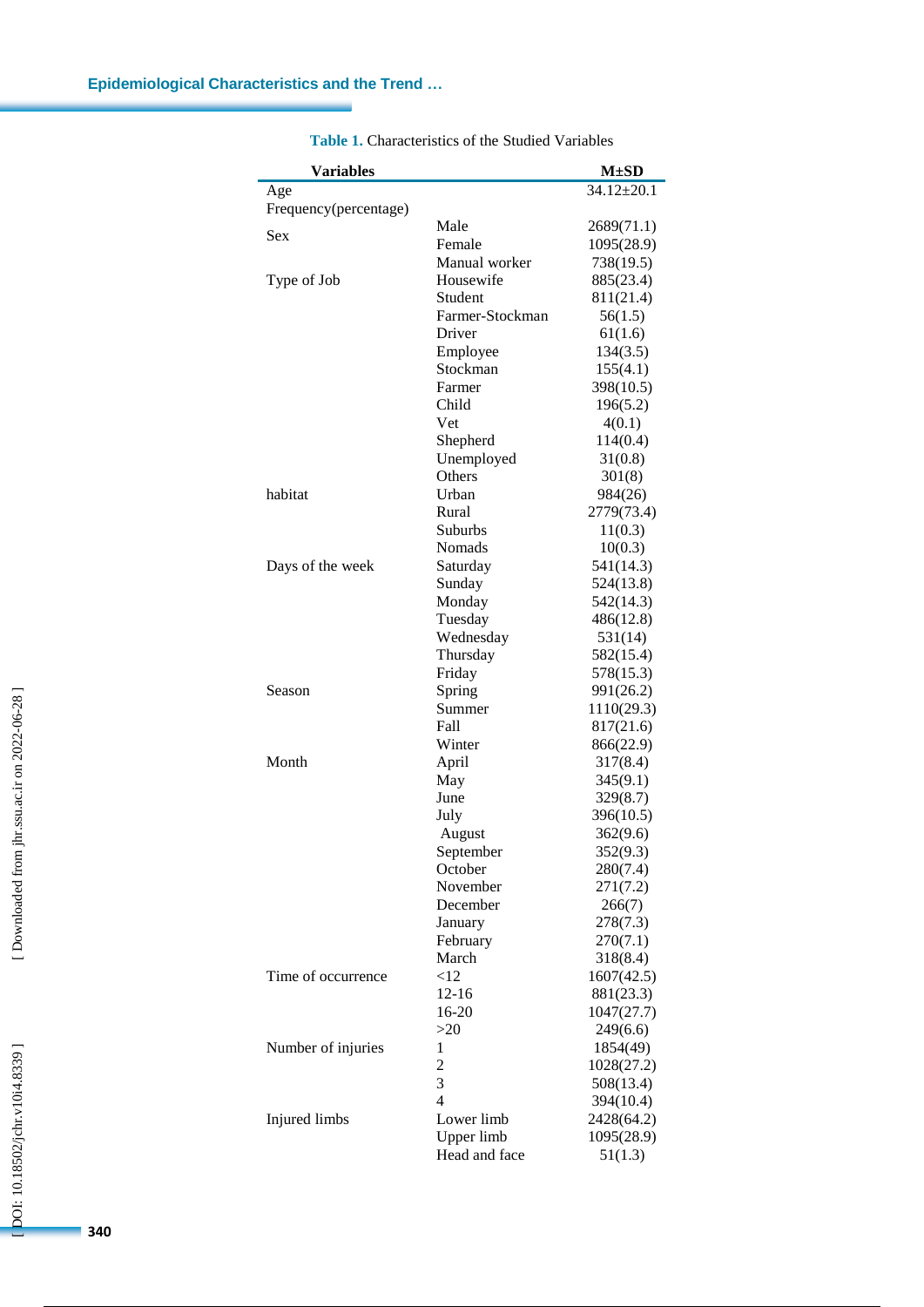۰

| <b>Variables</b>      |                 | $M \pm SD$       |
|-----------------------|-----------------|------------------|
| Age                   |                 | $34.12 \pm 20.1$ |
| Frequency(percentage) |                 |                  |
| <b>Sex</b>            | Male            | 2689(71.1)       |
|                       | Female          | 1095(28.9)       |
|                       | Manual worker   | 738(19.5)        |
| Type of Job           | Housewife       | 885(23.4)        |
|                       | Student         | 811(21.4)        |
|                       | Farmer-Stockman | 56(1.5)          |
|                       | Driver          | 61(1.6)          |
|                       | Employee        | 134(3.5)         |
|                       | Stockman        | 155(4.1)         |
|                       | Farmer          | 398(10.5)        |
|                       | Child           | 196(5.2)         |
|                       | Vet             | 4(0.1)           |
|                       | Shepherd        | 114(0.4)         |
|                       | Unemployed      | 31(0.8)          |
|                       | Others          | 301(8)           |
| habitat               | Urban           | 984(26)          |
|                       | Rural           | 2779(73.4)       |
|                       | <b>Suburbs</b>  | 11(0.3)          |
|                       | Nomads          | 10(0.3)          |
| Days of the week      | Saturday        | 541(14.3)        |
|                       | Sunday          | 524(13.8)        |
|                       | Monday          | 542(14.3)        |
|                       | Tuesday         | 486(12.8)        |
|                       | Wednesday       | 531(14)          |
|                       | Thursday        | 582(15.4)        |
|                       | Friday          | 578(15.3)        |
| Season                | Spring          | 991(26.2)        |
|                       | Summer          | 1110(29.3)       |
|                       | Fall            | 817(21.6)        |
|                       | Winter          | 866(22.9)        |
| Month                 | April           | 317(8.4)         |
|                       | May             | 345(9.1)         |
|                       | June            | 329(8.7)         |
|                       | July            | 396(10.5)        |
|                       | August          | 362(9.6)         |
|                       | September       | 352(9.3)         |
|                       | October         | 280(7.4)         |
|                       | November        | 271(7.2)         |
|                       | December        | 266(7)           |
|                       | January         | 278(7.3)         |
|                       | February        | 270(7.1)         |
|                       | March           | 318(8.4)         |
| Time of occurrence    | <12             | 1607(42.5)       |
|                       | $12 - 16$       | 881(23.3)        |
|                       | 16-20           | 1047(27.7)       |
|                       | >20             | 249(6.6)         |
| Number of injuries    | 1               | 1854(49)         |
|                       | $\overline{c}$  | 1028(27.2)       |
|                       | 3               | 508(13.4)        |
|                       | $\overline{4}$  | 394(10.4)        |
| Injured limbs         | Lower limb      | 2428(64.2)       |
|                       | Upper limb      | 1095(28.9)       |
|                       | Head and face   | 51(1.3)          |

**Table 1 .** Characteristics of the Studied Variables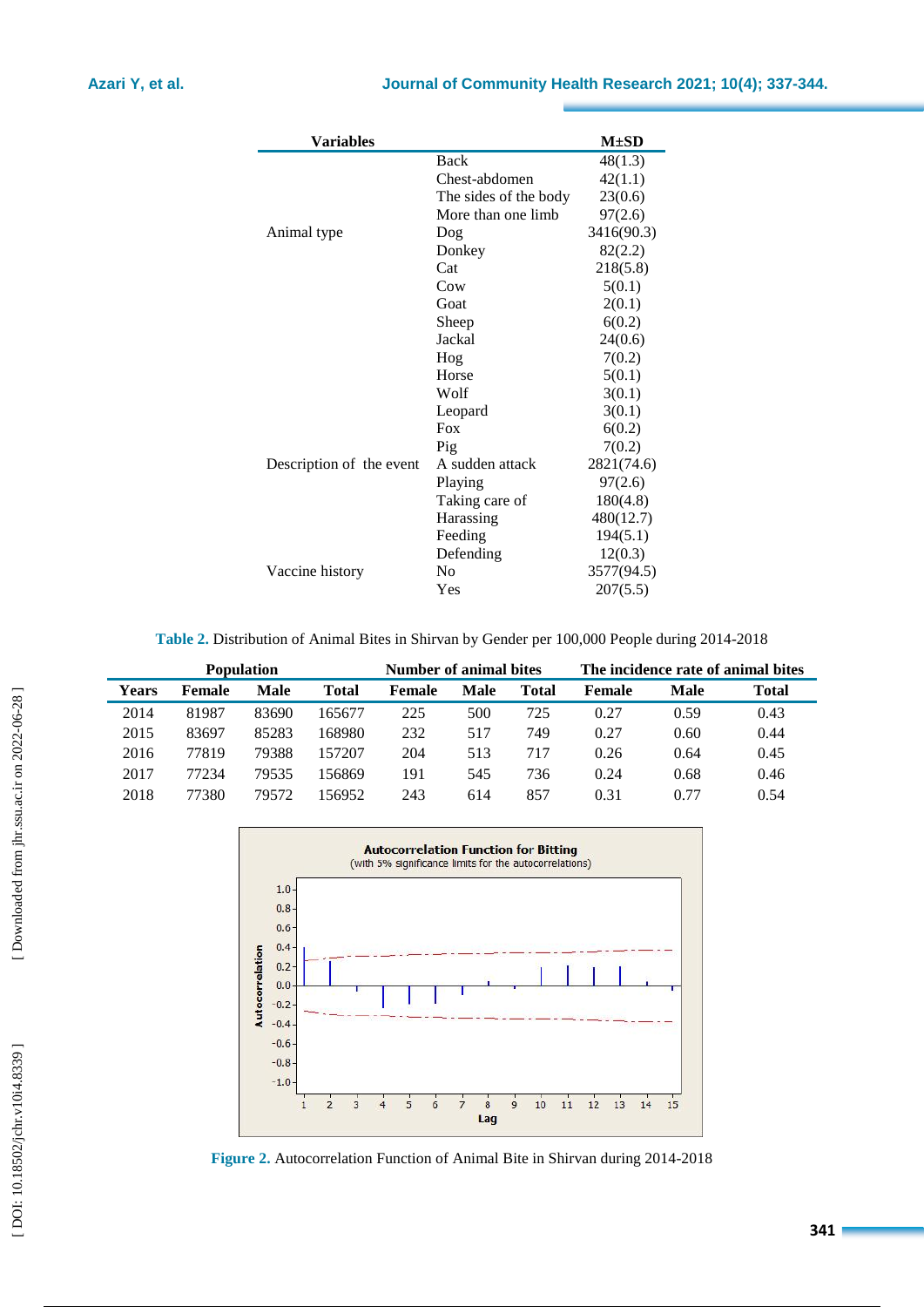| <b>Variables</b>         |                       | $M\pm SD$  |
|--------------------------|-----------------------|------------|
|                          | Back                  | 48(1.3)    |
|                          | Chest-abdomen         | 42(1.1)    |
|                          | The sides of the body | 23(0.6)    |
|                          | More than one limb    | 97(2.6)    |
| Animal type              | Dog                   | 3416(90.3) |
|                          | Donkey                | 82(2.2)    |
|                          | Cat                   | 218(5.8)   |
|                          | C <sub>ow</sub>       | 5(0.1)     |
|                          | Goat                  | 2(0.1)     |
|                          | Sheep                 | 6(0.2)     |
|                          | Jackal                | 24(0.6)    |
|                          | Hog                   | 7(0.2)     |
|                          | Horse                 | 5(0.1)     |
|                          | Wolf                  | 3(0.1)     |
|                          | Leopard               | 3(0.1)     |
|                          | Fox                   | 6(0.2)     |
|                          | Pig                   | 7(0.2)     |
| Description of the event | A sudden attack       | 2821(74.6) |
|                          | Playing               | 97(2.6)    |
|                          | Taking care of        | 180(4.8)   |
|                          | Harassing             | 480(12.7)  |
|                          | Feeding               | 194(5.1)   |
|                          | Defending             | 12(0.3)    |
| Vaccine history          | N <sub>0</sub>        | 3577(94.5) |
|                          | Yes                   | 207(5.5)   |

**Table 2.** Distribution of Animal Bites in Shirvan by Gender per 100,000 People during 2014 -2018

| <b>Population</b> |               |       | Number of animal bites |        |      |       | The incidence rate of animal bites |      |              |
|-------------------|---------------|-------|------------------------|--------|------|-------|------------------------------------|------|--------------|
| <b>Years</b>      | <b>Female</b> | Male  | Total                  | Female | Male | Total | Female                             | Male | <b>Total</b> |
| 2014              | 81987         | 83690 | 165677                 | 225    | 500  | 725   | 0.27                               | 0.59 | 0.43         |
| 2015              | 83697         | 85283 | 168980                 | 232    | 517  | 749   | 0.27                               | 0.60 | 0.44         |
| 2016              | 77819         | 79388 | 157207                 | 204    | 513  | 717   | 0.26                               | 0.64 | 0.45         |
| 2017              | 77234         | 79535 | 156869                 | 191    | 545  | 736   | 0.24                               | 0.68 | 0.46         |
| 2018              | 77380         | 79572 | 156952                 | 243    | 614  | 857   | 0.31                               | 0.77 | 0.54         |



Figure 2. Autocorrelation Function of Animal Bite in Shirvan during 2014-2018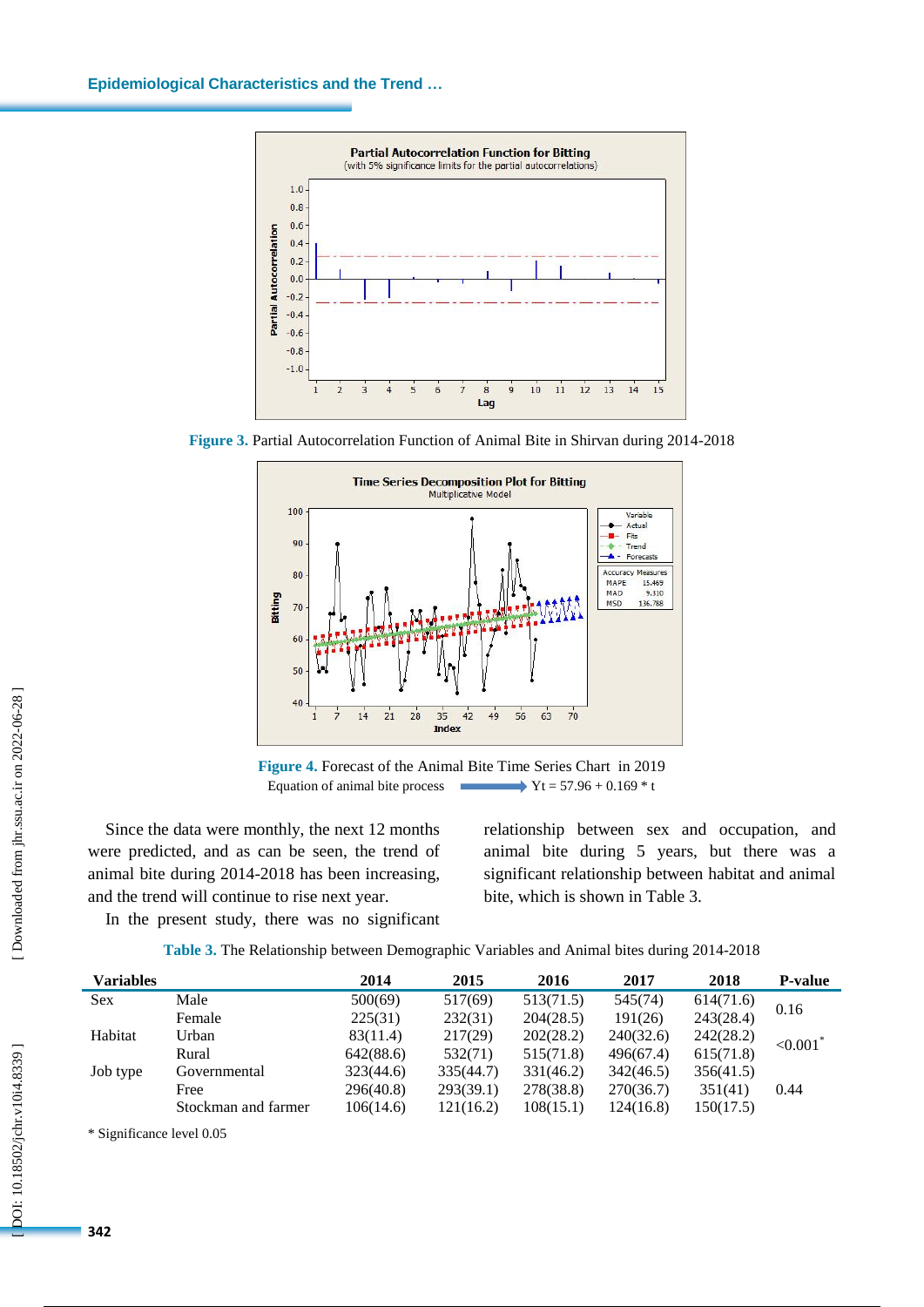

**Figure 3. Partial Autocorrelation Function of Animal Bite in Shirvan during 2014-2018** 



**Figure 4 .** Forecast of the Animal Bite Time Series Chart in 2019 Equation of animal bite process  $Yt = 57.96 + 0.169 * t$ 

Since the data were monthly, the next 12 months were predicted, and as can be se e n, the trend of animal bite during 2014 -2018 has been increasing , and the trend will continue to rise next year .

relationship between sex and occupation , and animal bite during 5 years, but there was a significant relationship between habitat and animal bite, which is shown in Table 3.

In the present study, there was no significant

| Table 3. The Relationship between Demographic Variables and Animal bites during 2014-2018 |  |  |
|-------------------------------------------------------------------------------------------|--|--|
|-------------------------------------------------------------------------------------------|--|--|

| <b>Variables</b> |                     | 2014      | 2015      | 2016      | 2017      | 2018      | <b>P-value</b>          |
|------------------|---------------------|-----------|-----------|-----------|-----------|-----------|-------------------------|
| <b>Sex</b>       | Male                | 500(69)   | 517(69)   | 513(71.5) | 545(74)   | 614(71.6) | 0.16                    |
|                  | Female              | 225(31)   | 232(31)   | 204(28.5) | 191(26)   | 243(28.4) |                         |
| Habitat          | Urban               | 83(11.4)  | 217(29)   | 202(28.2) | 240(32.6) | 242(28.2) | ${<}0.001$ <sup>*</sup> |
|                  | Rural               | 642(88.6) | 532(71)   | 515(71.8) | 496(67.4) | 615(71.8) |                         |
| Job type         | Governmental        | 323(44.6) | 335(44.7) | 331(46.2) | 342(46.5) | 356(41.5) |                         |
|                  | Free                | 296(40.8) | 293(39.1) | 278(38.8) | 270(36.7) | 351(41)   | 0.44                    |
|                  | Stockman and farmer | 106(14.6) | 121(16.2) | 108(15.1) | 124(16.8) | 150(17.5) |                         |
|                  |                     |           |           |           |           |           |                         |

\* Significance level 0.05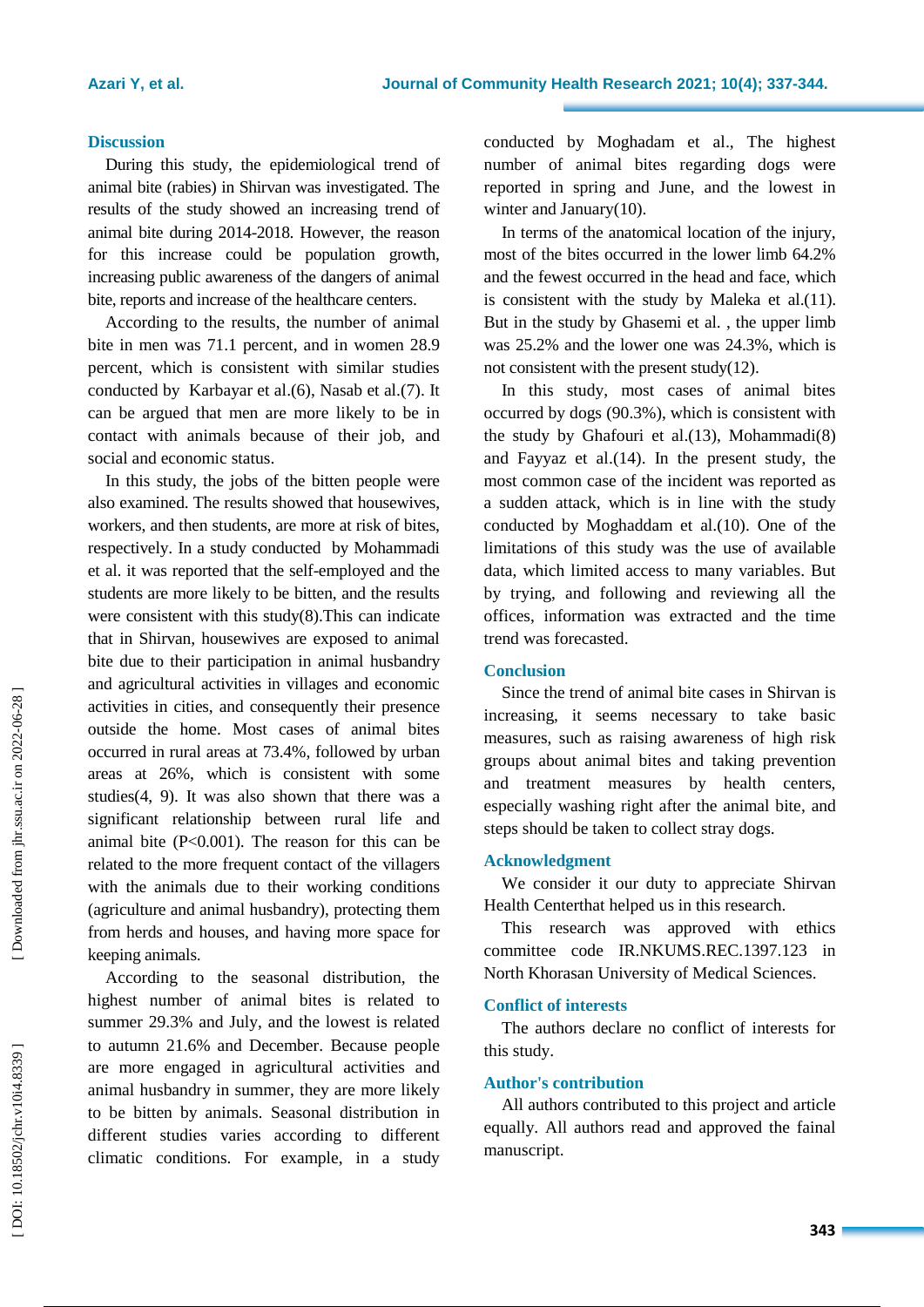# **Discussion**

During this study, the epidemiological trend of animal bite (rabies) in Shirvan was investigated. The results of the study showed an increasing trend of animal bite during 2014 -2018. However, the reason for this increase could be population growth, increasing public awareness of the dangers of animal bite, reports and increase of the healthcare centers.

According to the results, the number of animal bite in men was 71.1 percent , and in women 28.9 percent, which is consistent with similar studies conducted by Karbayar et al.(6), Nasab et al.(7). It can be argued that men are more likely to be in contact with animals because of their job, and social and economic status.

In this study, the jobs of the bitten people were also examined. The results showed that housewives, workers , and then students , are more at risk of bites, respectively. In a study conducted by Mohammadi et al. it was reported that the self-employed and the students are more likely to be bitten, and the results were consistent with this study ( 8 ).This can indicate that in Shirvan, housewives are exposed to animal bite due to their participation in animal husbandry and agricultural activities in villages and economic activities in cities, and consequently their presence outside the home. Most cases of animal bites occurred in rural areas at 73.4% , followed by urban areas at 26%, which is consistent with some studies ( 4, 9 ) . It was also shown that there was a significant relationship between rural life and animal bite  $(P<0.001)$ . The reason for this can be related to the more frequent contact of the villagers with the animals due to their working conditions (agriculture and animal husbandry) , protecting the m from herds and houses , and having more space for keeping animals.

According to the seasonal distribution, the highest number of animal bites is related to summer 29.3% and July , and the lowest is related to autumn 21.6% and December. Because people are more engaged in agricultural activities and animal husbandry in summer, they are more likely to be bitten by animals. Seasonal distribution in different studies varies according to different climatic conditions. For example, in a study

conducted by Moghadam et al., The highest number of animal bite s regarding dog s were reported in spring and June, and the lowest in winter and January(10).

In terms of the anatomical location of the injury, most of the bites occurred in the lower limb 64.2% and the fewest occurred in the head and face, which is consistent with the study by Maleka et al.(11). But in the study by Ghasemi et al. , the upper limb was 25.2% and the lower one was 24.3%, which is not consistent with the present study (12 ) .

In this study, most cases of animal bites occurred by dogs (90.3%), which is consistent with the study by Ghafouri et al . (13 ), Mohammadi ( 8 ) and Fayyaz et al . (14 ). In the present study, the most common case of the incident was reported as a sudden attack, which is in line with the study conducted by Moghaddam et al . (10 ) . One of the limitations of this study was the use of available data, which limited access to many variables. But by trying, and following and reviewing all the offices, information was extracted and the time trend was forecasted .

## **Conclusion**

Since the trend of animal bite cases in Shirvan is increasing, it seems necessary to take basic measures, such as raising awareness of high risk groups about animal bites and taking prevention and treatment measures by health centers, especially washing right after the animal bite , and steps should be taken to collect stray dogs.

# **Acknowledgment**

We consider it our duty to appreciate Shirvan Health Centerthat helped us in this research.

This research was approved with ethics committee code IR.NKUMS.REC.1397.123 in North Khorasan University of Medical Sciences.

# **Conflict of interests**

The authors declare no conflict of interests for this study.

# **Author's contribution**

All authors contributed to this project and article equally. All authors read and approved the fainal manuscript.